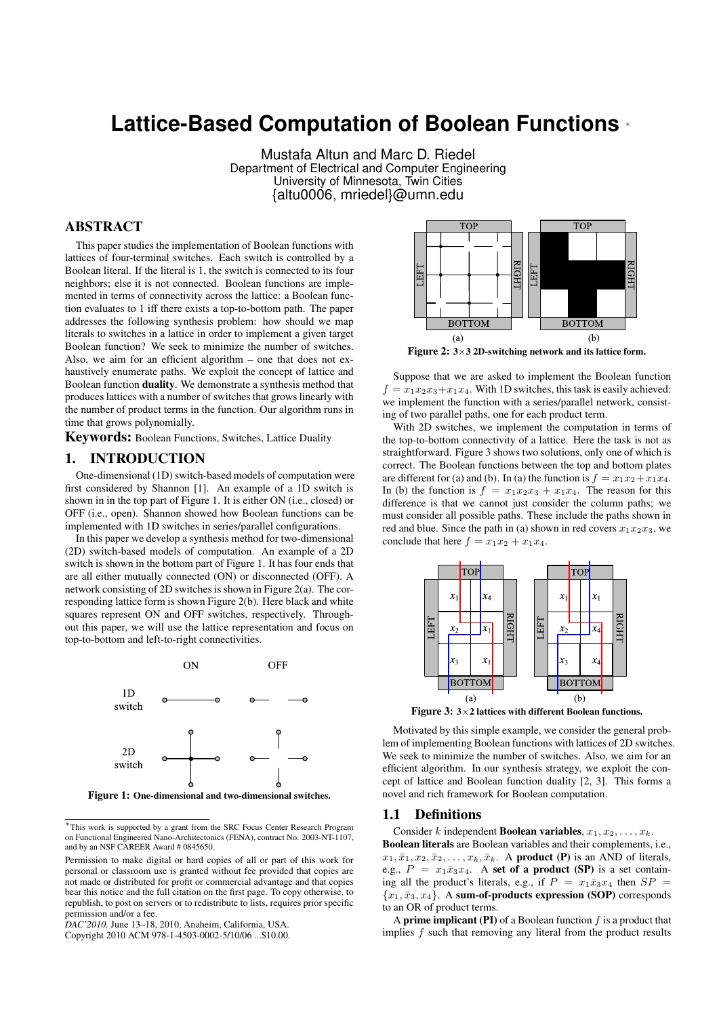# **Lattice-Based Computation of Boolean Functions** <sup>∗</sup>

Mustafa Altun and Marc D. Riedel Department of Electrical and Computer Engineering University of Minnesota, Twin Cities {altu0006, mriedel}@umn.edu

# ABSTRACT

This paper studies the implementation of Boolean functions with lattices of four-terminal switches. Each switch is controlled by a Boolean literal. If the literal is 1, the switch is connected to its four neighbors; else it is not connected. Boolean functions are implemented in terms of connectivity across the lattice: a Boolean function evaluates to 1 iff there exists a top-to-bottom path. The paper addresses the following synthesis problem: how should we map literals to switches in a lattice in order to implement a given target Boolean function? We seek to minimize the number of switches. Also, we aim for an efficient algorithm – one that does not exhaustively enumerate paths. We exploit the concept of lattice and Boolean function duality. We demonstrate a synthesis method that produces lattices with a number of switches that grows linearly with the number of product terms in the function. Our algorithm runs in time that grows polynomially.

Keywords: Boolean Functions, Switches, Lattice Duality

# 1. INTRODUCTION

One-dimensional (1D) switch-based models of computation were first considered by Shannon [1]. An example of a 1D switch is shown in in the top part of Figure 1. It is either ON (i.e., closed) or OFF (i.e., open). Shannon showed how Boolean functions can be implemented with 1D switches in series/parallel configurations.

In this paper we develop a synthesis method for two-dimensional (2D) switch-based models of computation. An example of a 2D switch is shown in the bottom part of Figure 1. It has four ends that are all either mutually connected (ON) or disconnected (OFF). A network consisting of 2D switches is shown in Figure 2(a). The corresponding lattice form is shown Figure 2(b). Here black and white squares represent ON and OFF switches, respectively. Throughout this paper, we will use the lattice representation and focus on top-to-bottom and left-to-right connectivities.





<sup>∗</sup> This work is supported by a grant from the SRC Focus Center Research Program on Functional Engineered Nano-Architectonics (FENA), contract No. 2003-NT-1107, and by an NSF CAREER Award # 0845650.

*DAC'2010,* June 13–18, 2010, Anaheim, California, USA.

Copyright 2010 ACM 978-1-4503-0002-5/10/06 ...\$10.00.



Figure 2:  $3 \times 3$  2D-switching network and its lattice form.

Suppose that we are asked to implement the Boolean function  $f = x_1x_2x_3 + x_1x_4$ . With 1D switches, this task is easily achieved: we implement the function with a series/parallel network, consisting of two parallel paths, one for each product term.

With 2D switches, we implement the computation in terms of the top-to-bottom connectivity of a lattice. Here the task is not as straightforward. Figure 3 shows two solutions, only one of which is correct. The Boolean functions between the top and bottom plates are different for (a) and (b). In (a) the function is  $f = x_1x_2+x_1x_4$ . In (b) the function is  $f = x_1x_2x_3 + x_1x_4$ . The reason for this difference is that we cannot just consider the column paths; we must consider all possible paths. These include the paths shown in red and blue. Since the path in (a) shown in red covers  $x_1x_2x_3$ , we conclude that here  $f = x_1x_2 + x_1x_4$ .



Figure 3: 3×2 lattices with different Boolean functions.

Motivated by this simple example, we consider the general problem of implementing Boolean functions with lattices of 2D switches. We seek to minimize the number of switches. Also, we aim for an efficient algorithm. In our synthesis strategy, we exploit the concept of lattice and Boolean function duality [2, 3]. This forms a novel and rich framework for Boolean computation.

#### 1.1 Definitions

Consider k independent **Boolean variables**,  $x_1, x_2, \ldots, x_k$ . Boolean literals are Boolean variables and their complements, i.e.,  $x_1, \bar{x}_1, x_2, \bar{x}_2, \ldots, x_k, \bar{x}_k$ . A product (P) is an AND of literals, e.g.,  $P = x_1 \bar{x}_3 x_4$ . A set of a product (SP) is a set containing all the product's literals, e.g., if  $P = x_1 \bar{x}_3 x_4$  then  $SP = x_2 \bar{x}_4 x_5 x_6$  ${x_1, \bar{x}_3, x_4}$ . A sum-of-products expression (SOP) corresponds to an OR of product terms.

A **prime implicant (PI)** of a Boolean function  $f$  is a product that implies  $f$  such that removing any literal from the product results

Permission to make digital or hard copies of all or part of this work for personal or classroom use is granted without fee provided that copies are not made or distributed for profit or commercial advantage and that copies bear this notice and the full citation on the first page. To copy otherwise, to republish, to post on servers or to redistribute to lists, requires prior specific permission and/or a fee.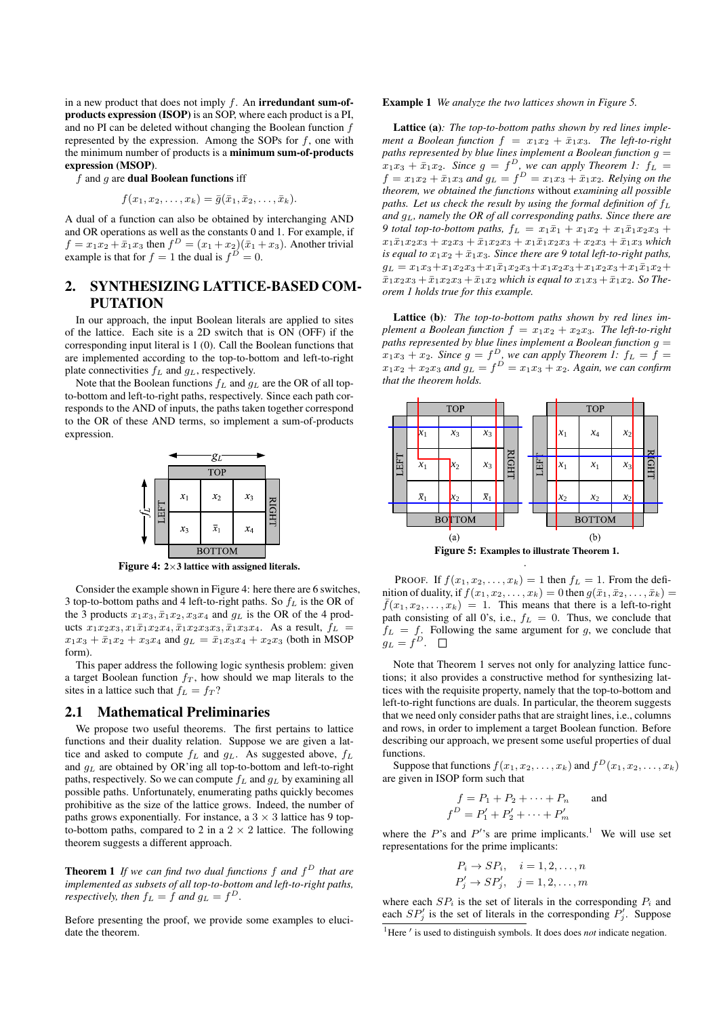in a new product that does not imply  $f$ . An **irredundant sum-of**products expression (ISOP) is an SOP, where each product is a PI, and no PI can be deleted without changing the Boolean function f represented by the expression. Among the SOPs for f, one with the minimum number of products is a minimum sum-of-products expression (MSOP).

 $f$  and  $g$  are **dual Boolean functions** iff

$$
f(x_1,x_2,\ldots,x_k)=\bar{g}(\bar{x}_1,\bar{x}_2,\ldots,\bar{x}_k).
$$

A dual of a function can also be obtained by interchanging AND and OR operations as well as the constants 0 and 1. For example, if  $f = x_1 x_2 + \bar{x}_1 x_3$  then  $f^D = (x_1 + x_2)(\bar{x}_1 + x_3)$ . Another trivial example is that for  $f = 1$  the dual is  $f^D = 0$ .

# 2. SYNTHESIZING LATTICE-BASED COM-PUTATION

In our approach, the input Boolean literals are applied to sites of the lattice. Each site is a 2D switch that is ON (OFF) if the corresponding input literal is 1 (0). Call the Boolean functions that are implemented according to the top-to-bottom and left-to-right plate connectivities  $f_L$  and  $g_L$ , respectively.

Note that the Boolean functions  $f_L$  and  $g_L$  are the OR of all topto-bottom and left-to-right paths, respectively. Since each path corresponds to the AND of inputs, the paths taken together correspond to the OR of these AND terms, so implement a sum-of-products expression.



Figure 4:  $2 \times 3$  lattice with assigned literals.

Consider the example shown in Figure 4: here there are 6 switches, 3 top-to-bottom paths and 4 left-to-right paths. So  $f_L$  is the OR of the 3 products  $x_1x_3, \bar{x}_1x_2, x_3x_4$  and  $g_L$  is the OR of the 4 products  $x_1x_2x_3, x_1\bar{x}_1x_2x_4, \bar{x}_1x_2x_3x_3, \bar{x}_1x_3x_4$ . As a result,  $f_L =$  $x_1x_3 + \bar{x}_1x_2 + x_3x_4$  and  $g_L = \bar{x}_1x_3x_4 + x_2x_3$  (both in MSOP form).

This paper address the following logic synthesis problem: given a target Boolean function  $f<sub>T</sub>$ , how should we map literals to the sites in a lattice such that  $f_L = f_T$ ?

# 2.1 Mathematical Preliminaries

We propose two useful theorems. The first pertains to lattice functions and their duality relation. Suppose we are given a lattice and asked to compute  $f_L$  and  $g_L$ . As suggested above,  $f_L$ and  $g<sub>L</sub>$  are obtained by OR'ing all top-to-bottom and left-to-right paths, respectively. So we can compute  $f_L$  and  $g_L$  by examining all possible paths. Unfortunately, enumerating paths quickly becomes prohibitive as the size of the lattice grows. Indeed, the number of paths grows exponentially. For instance, a  $3 \times 3$  lattice has 9 topto-bottom paths, compared to 2 in a  $2 \times 2$  lattice. The following theorem suggests a different approach.

Theorem 1 *If we can find two dual functions* f *and* f <sup>D</sup> *that are implemented as subsets of all top-to-bottom and left-to-right paths, respectively, then*  $f_L = f$  *and*  $g_L = f^D$ .

Before presenting the proof, we provide some examples to elucidate the theorem.

#### Example 1 *We analyze the two lattices shown in Figure 5.*

Lattice (a)*: The top-to-bottom paths shown by red lines implement a Boolean function*  $f = x_1x_2 + \bar{x}_1x_3$ *. The left-to-right paths represented by blue lines implement a Boolean function* g =  $x_1x_3 + \bar{x}_1x_2$ . Since  $g = f^D$ , we can apply Theorem 1:  $f_L =$  $f = x_1 x_2 + \bar{x}_1 x_3$  and  $g_L = f^D = x_1 x_3 + \bar{x}_1 x_2$ . Relying on the *theorem, we obtained the functions* without *examining all possible* paths. Let us check the result by using the formal definition of  $f_L$ *and* gL*, namely the OR of all corresponding paths. Since there are 9 total top-to-bottom paths,*  $f_L = x_1 \bar{x}_1 + x_1 x_2 + x_1 \bar{x}_1 x_2 x_3 +$  $x_1\bar{x}_1x_2x_3 + x_2x_3 + \bar{x}_1x_2x_3 + x_1\bar{x}_1x_2x_3 + x_2x_3 + \bar{x}_1x_3$  *which is equal to*  $x_1x_2 + \bar{x}_1x_3$ *. Since there are* 9 total left-to-right paths,  $g_L = x_1x_3+x_1x_2x_3+x_1\bar{x}_1x_2x_3+x_1x_2x_3+x_1x_2x_3+x_1\bar{x}_1x_2+$  $\bar{x}_1x_2x_3 + \bar{x}_1x_2x_3 + \bar{x}_1x_2$  *which is equal to*  $x_1x_3 + \bar{x}_1x_2$ *. So Theorem 1 holds true for this example.*

Lattice (b)*: The top-to-bottom paths shown by red lines implement a Boolean function*  $f = x_1x_2 + x_2x_3$ *. The left-to-right paths represented by blue lines implement a Boolean function* g =  $x_1x_3 + x_2$ . Since  $g = f^D$ , we can apply Theorem 1:  $f_L = f =$  $x_1x_2+x_2x_3$  and  $g_L = f^D = x_1x_3+x_2$ . Again, we can confirm *that the theorem holds.*



Figure 5: Examples to illustrate Theorem 1. .

PROOF. If  $f(x_1, x_2, \ldots, x_k) = 1$  then  $f_L = 1$ . From the definition of duality, if  $f(x_1, x_2, \ldots, x_k) = 0$  then  $g(\bar{x}_1, \bar{x}_2, \ldots, \bar{x}_k) =$  $\bar{f}(x_1, x_2, \ldots, x_k) = 1$ . This means that there is a left-to-right path consisting of all 0's, i.e.,  $f_L = 0$ . Thus, we conclude that  $f_L = f$ . Following the same argument for g, we conclude that  $g_L = f^D$ .

Note that Theorem 1 serves not only for analyzing lattice functions; it also provides a constructive method for synthesizing lattices with the requisite property, namely that the top-to-bottom and left-to-right functions are duals. In particular, the theorem suggests that we need only consider paths that are straight lines, i.e., columns and rows, in order to implement a target Boolean function. Before describing our approach, we present some useful properties of dual functions.

Suppose that functions  $f(x_1, x_2, \ldots, x_k)$  and  $f^{D}(x_1, x_2, \ldots, x_k)$ are given in ISOP form such that

$$
f = P_1 + P_2 + \dots + P_n
$$
 and  
 $f^{D} = P'_1 + P'_2 + \dots + P'_m$ 

f

where the  $P$ 's and  $P'$ 's are prime implicants.<sup>1</sup> We will use set representations for the prime implicants:

$$
P_i \rightarrow SP_i, \quad i = 1, 2, \dots, n
$$
  

$$
P'_j \rightarrow SP'_j, \quad j = 1, 2, \dots, m
$$

where each  $SP_i$  is the set of literals in the corresponding  $P_i$  and each  $SP'_j$  is the set of literals in the corresponding  $P'_j$ . Suppose

<sup>1</sup>Here ' is used to distinguish symbols. It does does *not* indicate negation.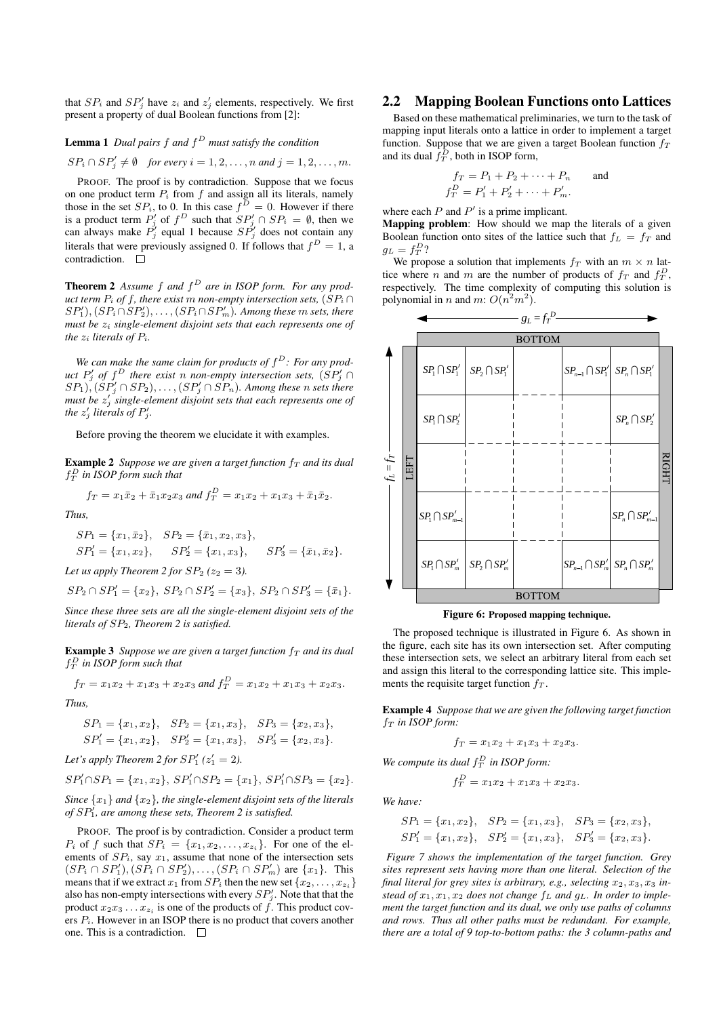that  $SP_i$  and  $SP'_j$  have  $z_i$  and  $z'_j$  elements, respectively. We first present a property of dual Boolean functions from [2]:

### Lemma 1 *Dual pairs* f *and* f <sup>D</sup> *must satisfy the condition*

 $SP_i \cap SP'_j \neq \emptyset$  *for every*  $i = 1, 2, \dots, n$  *and*  $j = 1, 2, \dots, m$ .

PROOF. The proof is by contradiction. Suppose that we focus on one product term  $P_i$  from f and assign all its literals, namely those in the set  $SP_i$ , to 0. In this case  $f^D = 0$ . However if there is a product term  $P'_j$  of  $f^D$  such that  $SP'_j \cap SP_i = \emptyset$ , then we can always make  $P'_{j}$  equal 1 because  $SP'_{j}$  does not contain any literals that were previously assigned 0. If follows that  $f^D = 1$ , a contradiction.  $\square$ 

Theorem 2 *Assume* f *and* f <sup>D</sup> *are in ISOP form. For any product term*  $P_i$  *of*  $f$ *, there exist* m *non-empty intersection sets,*  $(SP_i \cap f)$  $SP'_1$ ),  $(SP_i \cap SP'_2)$ ,  $\ldots$ ,  $(SP_i \cap SP'_m)$ . Among these  $m$  sets, there *must be*  $z_i$  *single-element disjoint sets that each represents one of the*  $z_i$  *literals of*  $P_i$ *.* 

We can make the same claim for products of  $f^D$ : For any prod $u$ ct  $P'_{j}$  of  $f^{D}$  there exist n non-empty intersection sets,  $(SP'_{j} \cap G)$  $(SP_1), (SP'_j \cap SP_2), \ldots, (SP'_j \cap SP_n)$ . Among these  $n$  sets there must be  $z_j'$  single-element disjoint sets that each represents one of *the*  $z'_j$  *literals of*  $P'_j$ *.* 

Before proving the theorem we elucidate it with examples.

**Example 2** *Suppose we are given a target function*  $f<sub>T</sub>$  *and its dual*  $f_T^D$  in ISOP form such that

$$
f_T = x_1 \bar{x}_2 + \bar{x}_1 x_2 x_3
$$
 and  $f_T^D = x_1 x_2 + x_1 x_3 + \bar{x}_1 \bar{x}_2$ .

*Thus,*

$$
SP_1 = \{x_1, \bar{x}_2\}, \quad SP_2 = \{\bar{x}_1, x_2, x_3\},
$$
  
\n
$$
SP'_1 = \{x_1, x_2\}, \quad SP'_2 = \{x_1, x_3\}, \quad SP'_3 = \{\bar{x}_1, \bar{x}_2\}.
$$

*Let us apply Theorem 2 for*  $SP_2$  ( $z_2 = 3$ ).

$$
SP_2 \cap SP_1' = \{x_2\}, \ SP_2 \cap SP_2' = \{x_3\}, \ SP_2 \cap SP_3' = \{\bar{x}_1\}.
$$

*Since these three sets are all the single-element disjoint sets of the literals of* SP2*, Theorem 2 is satisfied.*

**Example 3** Suppose we are given a target function  $f<sub>T</sub>$  and its dual  $f_T^D$  in ISOP form such that

$$
f_T = x_1x_2 + x_1x_3 + x_2x_3
$$
 and  $f_T^D = x_1x_2 + x_1x_3 + x_2x_3$ .

*Thus,*

$$
SP_1 = \{x_1, x_2\},
$$
  $SP_2 = \{x_1, x_3\},$   $SP_3 = \{x_2, x_3\},$   
\n $SP'_1 = \{x_1, x_2\},$   $SP'_2 = \{x_1, x_3\},$   $SP'_3 = \{x_2, x_3\}.$ 

*Let's apply Theorem 2 for*  $SP'_1(z'_1 = 2)$ *.* 

$$
SP'_1 \cap SP_1 = \{x_1, x_2\}, \ SP'_1 \cap SP_2 = \{x_1\}, \ SP'_1 \cap SP_3 = \{x_2\}.
$$

*Since* {x1} *and* {x2}*, the single-element disjoint sets of the literals* of  $SP<sub>1</sub><sup>7</sup>$ , are among these sets, Theorem 2 is satisfied.

PROOF. The proof is by contradiction. Consider a product term  $P_i$  of f such that  $SP_i = \{x_1, x_2, \ldots, x_{z_i}\}.$  For one of the elements of  $SP_i$ , say  $x_1$ , assume that none of the intersection sets  $(SP_i \cap SP'_1), (SP_i \cap SP'_2), \ldots, (SP_i \cap SP'_m)$  are  $\{x_1\}.$  This means that if we extract  $x_1$  from  $SP_i$  then the new set  $\{x_2, \ldots, x_{z_i}\}$ also has non-empty intersections with every  $SP'_{j}$ . Note that that the product  $x_2x_3 \ldots x_{z_i}$  is one of the products of f. This product covers  $P_i$ . However in an ISOP there is no product that covers another one. This is a contradiction.

# 2.2 Mapping Boolean Functions onto Lattices

Based on these mathematical preliminaries, we turn to the task of mapping input literals onto a lattice in order to implement a target function. Suppose that we are given a target Boolean function  $f<sub>T</sub>$ and its dual  $\bar{f}_T^D$ , both in ISOP form,

$$
f_T = P_1 + P_2 + \dots + P_n \quad \text{and} \quad f_T^D = P_1' + P_2' + \dots + P_m'.
$$

where each  $P$  and  $P'$  is a prime implicant.

Mapping problem: How should we map the literals of a given Boolean function onto sites of the lattice such that  $f_L = f_T$  and  $g_L = f_T^D$ ?

We propose a solution that implements  $f_T$  with an  $m \times n$  lattice where *n* and *m* are the number of products of  $f_T$  and  $f_T^D$ , respectively. The time complexity of computing this solution is polynomial in *n* and *m*:  $O(n^2m^2)$ .



Figure 6: Proposed mapping technique.

The proposed technique is illustrated in Figure 6. As shown in the figure, each site has its own intersection set. After computing these intersection sets, we select an arbitrary literal from each set and assign this literal to the corresponding lattice site. This implements the requisite target function  $f<sub>T</sub>$ .

Example 4 *Suppose that we are given the following target function*  $f_T$  *in ISOP form:* 

$$
f_T = x_1 x_2 + x_1 x_3 + x_2 x_3.
$$

We compute its dual  $f_T^D$  in *ISOP* form:

 $f_T^D = x_1x_2 + x_1x_3 + x_2x_3.$ 

*We have:*

$$
SP_1 = \{x_1, x_2\},
$$
  $SP_2 = \{x_1, x_3\},$   $SP_3 = \{x_2, x_3\},$   
\n $SP'_1 = \{x_1, x_2\},$   $SP'_2 = \{x_1, x_3\},$   $SP'_3 = \{x_2, x_3\}.$ 

*Figure 7 shows the implementation of the target function. Grey sites represent sets having more than one literal. Selection of the* final literal for grey sites is arbitrary, e.g., selecting  $x_2, x_3, x_3$  instead of  $x_1, x_1, x_2$  does not change  $f_L$  and  $g_L$ . In order to imple*ment the target function and its dual, we only use paths of columns and rows. Thus all other paths must be redundant. For example, there are a total of 9 top-to-bottom paths: the 3 column-paths and*